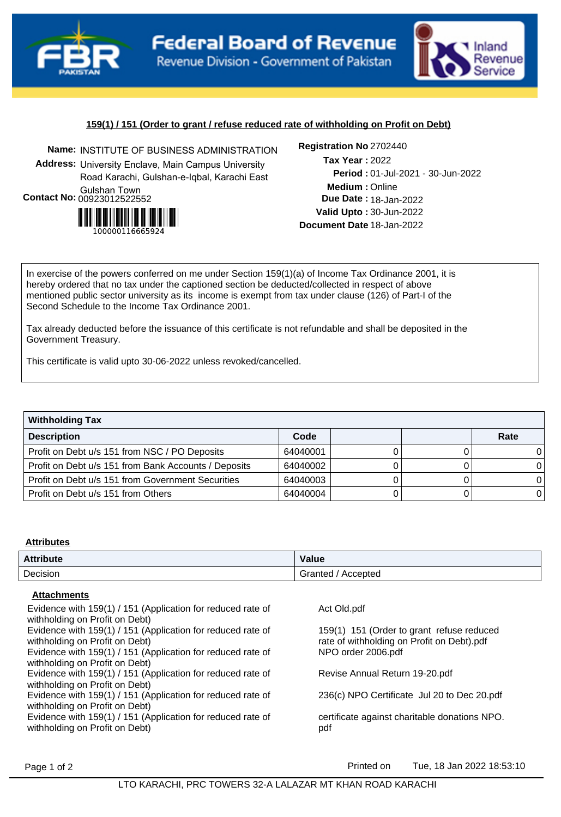



# **159(1) / 151 (Order to grant / refuse reduced rate of withholding on Profit on Debt)**

**Name:** INSTITUTE OF BUSINESS ADMINISTRATION **Registration No Address:** University Enclave, Main Campus University Road Karachi, Gulshan-e-Iqbal, Karachi East Gulshan Town **Contact No:**00923012522552



Registration No 2702440

**Medium :** Online 01-Jul-2021 - 30-Jun-2022 **Period : Due Date : 18-Jan-2022 Valid Upto :** 30-Jun-2022 **Document Date** 18-Jan-2022 2022 **Tax Year :**

In exercise of the powers conferred on me under Section 159(1)(a) of Income Tax Ordinance 2001, it is hereby ordered that no tax under the captioned section be deducted/collected in respect of above mentioned public sector university as its income is exempt from tax under clause (126) of Part-I of the Second Schedule to the Income Tax Ordinance 2001.

Tax already deducted before the issuance of this certificate is not refundable and shall be deposited in the Government Treasury.

This certificate is valid upto 30-06-2022 unless revoked/cancelled.

| <b>Withholding Tax</b>                               |          |  |      |
|------------------------------------------------------|----------|--|------|
| <b>Description</b>                                   | Code     |  | Rate |
| Profit on Debt u/s 151 from NSC / PO Deposits        | 64040001 |  |      |
| Profit on Debt u/s 151 from Bank Accounts / Deposits | 64040002 |  | 0    |
| Profit on Debt u/s 151 from Government Securities    | 64040003 |  | 0    |
| Profit on Debt u/s 151 from Others                   | 64040004 |  | 0    |

#### **Attributes**

| <b>Attribute</b> | Value               |
|------------------|---------------------|
| Decision         | Accepted<br>Granted |

# **Attachments**

| Evidence with 159(1) / 151 (Application for reduced rate of<br>withholding on Profit on Debt) | Act Old.pdf                                                                             |
|-----------------------------------------------------------------------------------------------|-----------------------------------------------------------------------------------------|
| Evidence with 159(1) / 151 (Application for reduced rate of<br>withholding on Profit on Debt) | 159(1) 151 (Order to grant refuse reduced<br>rate of withholding on Profit on Debt).pdf |
| Evidence with 159(1) / 151 (Application for reduced rate of<br>withholding on Profit on Debt) | NPO order 2006.pdf                                                                      |
| Evidence with 159(1) / 151 (Application for reduced rate of<br>withholding on Profit on Debt) | Revise Annual Return 19-20.pdf                                                          |
| Evidence with 159(1) / 151 (Application for reduced rate of<br>withholding on Profit on Debt) | 236(c) NPO Certificate Jul 20 to Dec 20.pdf                                             |
| Evidence with 159(1) / 151 (Application for reduced rate of<br>withholding on Profit on Debt) | certificate against charitable donations NPO.<br>pdf                                    |
|                                                                                               |                                                                                         |

Page 1 of 2 **Printed on** Tue, 18 Jan 2022 18:53:10